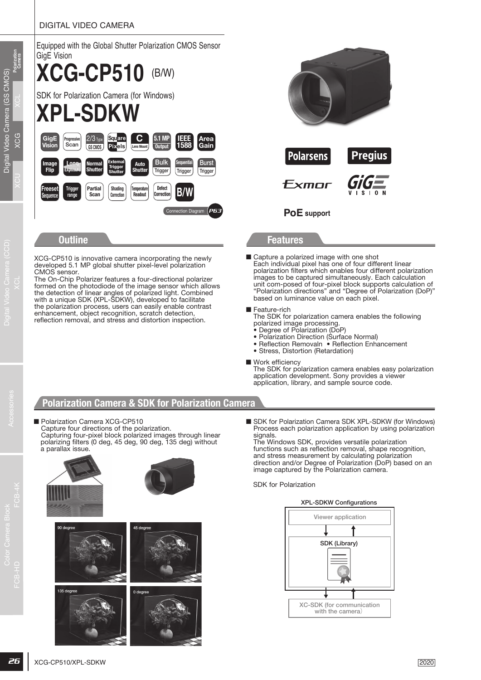### DIGITAL VIDEO CAMERA



### **Outline Features**

XCG-CP510 is innovative camera incorporating the newly developed 5.1 MP global shutter pixel-level polarization CMOS sensor.

The On-Chip Polarizer features a four-directional polarizer formed on the photodiode of the image sensor which allows the detection of linear angles of polarized light. Combined with a unique SDK (XPL-SDKW), developed to facilitate the polarization process, users can easily enable contrast enhancement, object recognition, scratch detection, reflection removal, and stress and distortion inspection.

- **PoE support**
- Capture a polarized image with one shot Each individual pixel has one of four different linear polarization filters which enables four different polarization images to be captured simultaneously. Each calculation unit com-posed of four-pixel block supports calculation of "Polarization directions" and "Degree of Polarization (DoP)" based on luminance value on each pixel.
- Feature-rich

The SDK for polarization camera enables the following polarized image processing.

- Degree of Polarization (DoP)
- Polarization Direction (Surface Normal)
- Reflection Removaln Reflection Enhancement
- Stress, Distortion (Retardation)
- Work efficiency

The SDK for polarization camera enables easy polarization application development. Sony provides a viewer application, library, and sample source code.

# **Polarization Camera & SDK for Polarization Camera**

■ Polarization Camera XCG-CP510 Capture four directions of the polarization.

Capturing four-pixel block polarized images through linear polarizing filters (0 deg, 45 deg, 90 deg, 135 deg) without a parallax issue.



■ SDK for Polarization Camera SDK XPL-SDKW (for Windows) Process each polarization application by using polarization signals.

The Windows SDK, provides versatile polarization functions such as reflection removal, shape recognition, and stress measurement by calculating polarization direction and/or Degree of Polarization (DoP) based on an image captured by the Polarization camera.

SDK for Polarization

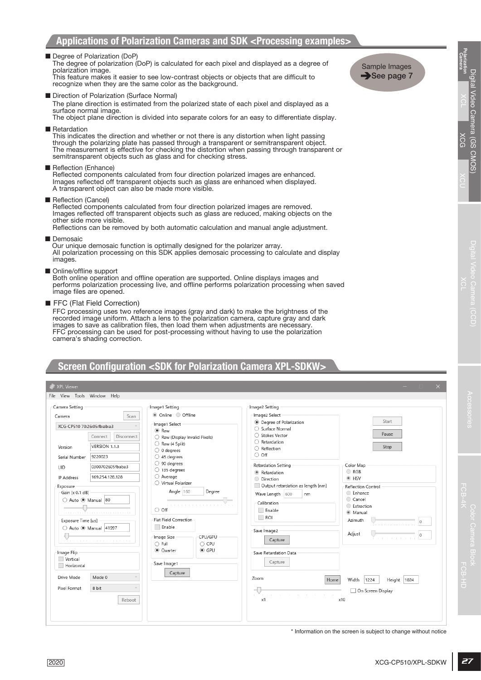# **Screen Configuration <SDK for Polarization Camera XPL-SDKW>**

| Degree of Polarization (DoP)<br>polarization image.                         | The degree of polarization (DoP) is calculated for each pixel and displayed as a degree of<br>This feature makes it easier to see low-contrast objects or objects that are difficult to<br>recognize when they are the same color as the background.                                                                                                              |                                                                                                | Sample Images<br>$\rightarrow$ See page 7                       | Polarization<br>Camera<br><b>C</b>             |
|-----------------------------------------------------------------------------|-------------------------------------------------------------------------------------------------------------------------------------------------------------------------------------------------------------------------------------------------------------------------------------------------------------------------------------------------------------------|------------------------------------------------------------------------------------------------|-----------------------------------------------------------------|------------------------------------------------|
| Direction of Polarization (Surface Normal)<br>surface normal image.         | The plane direction is estimated from the polarized state of each pixel and displayed as a<br>The object plane direction is divided into separate colors for an easy to differentiate display.                                                                                                                                                                    |                                                                                                |                                                                 | ngital Vict<br>  1⊃X<br> gital Vieo Camera (SS |
| ■ Retardation                                                               | This indicates the direction and whether or not there is any distortion when light passing<br>through the polarizing plate has passed through a transparent or semitransparent object.<br>semitransparent objects such as glass and for checking stress.                                                                                                          | The measurement is effective for checking the distortion when passing through transparent or   |                                                                 |                                                |
| Reflection (Enhance)<br>A transparent object can also be made more visible. | Reflected components calculated from four direction polarized images are enhanced.<br>Images reflected off transparent objects such as glass are enhanced when displayed.                                                                                                                                                                                         |                                                                                                |                                                                 | CIMIOS)                                        |
| Reflection (Cancel)<br>other side more visible.                             | Reflected components calculated from four direction polarized images are removed.<br>Images reflected off transparent objects such as glass are reduced, making objects on the<br>Reflections can be removed by both automatic calculation and manual angle adjustment.                                                                                           |                                                                                                |                                                                 |                                                |
| Demosaic<br>images.                                                         | Our unique demosaic function is optimally designed for the polarizer array.                                                                                                                                                                                                                                                                                       | All polarization processing on this SDK applies demosaic processing to calculate and display   |                                                                 |                                                |
| Online/offline support<br>image files are opened.                           | Both online operation and offline operation are supported. Online displays images and                                                                                                                                                                                                                                                                             | performs polarization processing live, and offline performs polarization processing when saved |                                                                 | vgital Video Camera (CCD                       |
| FFC (Flat Field Correction)<br>camera's shading correction.                 | FFC processing uses two reference images (gray and dark) to make the brightness of the<br>recorded image uniform. Attach a lens to the polarization camera, capture gray and dark<br>images to save as calibration files, then load them when adjustments are necessary.<br>FFC processing can be used for post-processing without having to use the polarization |                                                                                                |                                                                 |                                                |
| XPL Viewer                                                                  | Screen Configuration <sdk camera="" for="" polarization="" xpl-sdkw=""></sdk>                                                                                                                                                                                                                                                                                     |                                                                                                | $\times$                                                        |                                                |
| File View Tools Window Help                                                 |                                                                                                                                                                                                                                                                                                                                                                   |                                                                                                |                                                                 |                                                |
| Camera Setting                                                              | Image1 Setting                                                                                                                                                                                                                                                                                                                                                    | Image2 Setting                                                                                 |                                                                 |                                                |
| Scan<br>Camera                                                              | Online Offline                                                                                                                                                                                                                                                                                                                                                    | Image2 Select                                                                                  | Start                                                           |                                                |
| XCG-CP510 70:26:05:fb:ab:a3                                                 | Image1 Select                                                                                                                                                                                                                                                                                                                                                     | <b>Degree of Polarization</b><br>○ Surface Normal                                              |                                                                 | $\overline{3}$                                 |
| Connect<br>Disconnect                                                       | $\odot$ Raw<br>Raw (Display Invalid Pixels)                                                                                                                                                                                                                                                                                                                       | ○ Stokes Vector                                                                                | Pause                                                           |                                                |
| VERSION 1.1.3                                                               | Raw (4 Split)                                                                                                                                                                                                                                                                                                                                                     | $\bigcirc$ Retardation                                                                         |                                                                 |                                                |
| Version                                                                     | $\bigcirc$ 0 degrees                                                                                                                                                                                                                                                                                                                                              | ○ Reflection<br>$\circ$ off                                                                    | Stop                                                            |                                                |
| 9220023<br>Serial Number                                                    | $\bigcirc$ 45 degrees                                                                                                                                                                                                                                                                                                                                             |                                                                                                |                                                                 |                                                |
| 0300702605fbaba3<br><b>UID</b>                                              | $\bigcirc$ 90 degrees<br>$\bigcirc$ 135 degrees                                                                                                                                                                                                                                                                                                                   | Retardation Setting                                                                            | Color Map                                                       |                                                |
| 169.254.128.128<br>IP Address                                               | $\bigcirc$ Average                                                                                                                                                                                                                                                                                                                                                | Retardation<br>O Direction                                                                     | C RGB<br>◉ HSV                                                  |                                                |
| Exposure                                                                    | ◯ Virtual Polarizer                                                                                                                                                                                                                                                                                                                                               | Output retardation as length [nm]                                                              | Reflection Control                                              |                                                |
| Gain [x 0.1 dB]                                                             | Angle 160<br>Degree                                                                                                                                                                                                                                                                                                                                               | Wave Length 600<br>nm                                                                          | ◯ Enhance                                                       | FCB-4                                          |
| Auto @ Manual 80                                                            |                                                                                                                                                                                                                                                                                                                                                                   | Calibration                                                                                    | Cancel<br>Extraction                                            |                                                |
| .                                                                           | $\circ$ off                                                                                                                                                                                                                                                                                                                                                       | Enable                                                                                         | <b>Manual</b>                                                   |                                                |
| Exposure Time [us]                                                          | <b>Flat Field Correction</b>                                                                                                                                                                                                                                                                                                                                      | $\Box$ ROI                                                                                     | Azimuth<br>$\Omega$                                             |                                                |
| ◯ Auto <sup>(2)</sup> Manual 41997                                          | Enable                                                                                                                                                                                                                                                                                                                                                            | Save Image2                                                                                    |                                                                 |                                                |
|                                                                             | Image Size<br>CPU/GPU                                                                                                                                                                                                                                                                                                                                             |                                                                                                | Adjust<br>O                                                     |                                                |
| .                                                                           | $\bigcirc$ Full<br>$\bigcirc$ CPU                                                                                                                                                                                                                                                                                                                                 | Capture                                                                                        |                                                                 |                                                |
| Image Flip                                                                  | $\odot$ GPU<br>C Quarter                                                                                                                                                                                                                                                                                                                                          | Save Retardation Data                                                                          |                                                                 | $\Box$                                         |
| Vertical                                                                    | Save Image1                                                                                                                                                                                                                                                                                                                                                       | Capture                                                                                        |                                                                 | $\overline{\circ}$                             |
| Horizontal                                                                  | Capture                                                                                                                                                                                                                                                                                                                                                           |                                                                                                |                                                                 |                                                |
| Drive Mode<br>Mode 0                                                        |                                                                                                                                                                                                                                                                                                                                                                   | Zoom<br>Home                                                                                   | Width<br>1224<br>1024<br>Height                                 | FCB-HD                                         |
| Pixel Format<br>8 bit                                                       |                                                                                                                                                                                                                                                                                                                                                                   |                                                                                                | On Screen Display                                               |                                                |
|                                                                             |                                                                                                                                                                                                                                                                                                                                                                   |                                                                                                |                                                                 |                                                |
| Reboot                                                                      |                                                                                                                                                                                                                                                                                                                                                                   | x1<br>x10                                                                                      |                                                                 |                                                |
|                                                                             |                                                                                                                                                                                                                                                                                                                                                                   |                                                                                                |                                                                 |                                                |
|                                                                             |                                                                                                                                                                                                                                                                                                                                                                   |                                                                                                |                                                                 |                                                |
|                                                                             |                                                                                                                                                                                                                                                                                                                                                                   |                                                                                                |                                                                 |                                                |
|                                                                             |                                                                                                                                                                                                                                                                                                                                                                   |                                                                                                |                                                                 |                                                |
|                                                                             |                                                                                                                                                                                                                                                                                                                                                                   |                                                                                                | * Information on the screen is subject to change without notice |                                                |
|                                                                             |                                                                                                                                                                                                                                                                                                                                                                   |                                                                                                |                                                                 |                                                |
| 2020                                                                        |                                                                                                                                                                                                                                                                                                                                                                   |                                                                                                | XCG-CP510/XPL-SDKW                                              | 27                                             |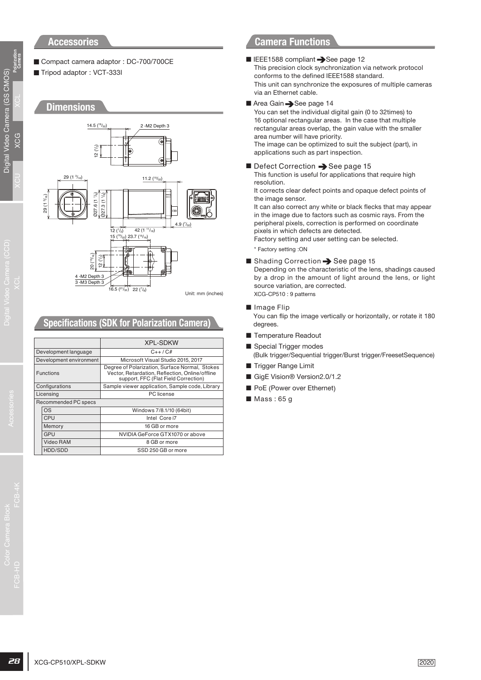### **Accessories**

■ Compact camera adaptor : DC-700/700CE ■ Tripod adaptor : VCT-333I

### **Dimensions**



# **Specifications (SDK for Polarization Camera)**

|        |                         | <b>XPL-SDKW</b>                                                                                                                           |
|--------|-------------------------|-------------------------------------------------------------------------------------------------------------------------------------------|
|        | Development language    | $C_{++}/C_{+}$                                                                                                                            |
|        | Development environment | Microsoft Visual Studio 2015, 2017                                                                                                        |
|        | <b>Functions</b>        | Degree of Polarization, Surface Normal, Stokes<br>Vector, Retardation, Reflection, Online/offline<br>support, FFC (Flat Field Correction) |
|        | Configurations          | Sample viewer application, Sample code, Library                                                                                           |
|        | Licensing               | PC license                                                                                                                                |
|        | Recommended PC specs    |                                                                                                                                           |
|        | OS                      | Windows 7/8.1/10 (64bit)                                                                                                                  |
| CPU    |                         | Intel Core i7                                                                                                                             |
| Memory |                         | 16 GB or more                                                                                                                             |
|        | GPU                     | NVIDIA GeForce GTX1070 or above                                                                                                           |
|        | <b>Video RAM</b>        | 8 GB or more                                                                                                                              |
|        | HDD/SDD                 | SSD 250 GB or more                                                                                                                        |

# **Camera Functions**

#### ■ IEEE1588 compliant → See page 12

- This precision clock synchronization via network protocol conforms to the defined IEEE1588 standard. This unit can synchronize the exposures of multiple cameras via an Ethernet cable.
- Area Gain → See page 14

You can set the individual digital gain (0 to 32times) to 16 optional rectangular areas. In the case that multiple rectangular areas overlap, the gain value with the smaller area number will have priority. The image can be optimized to suit the subject (part), in applications such as part inspection.

 $\blacksquare$  Defect Correction  $\rightarrow$  See page 15 This function is useful for applications that require high

resolution. It corrects clear defect points and opaque defect points of the image sensor.

It can also correct any white or black flecks that may appear in the image due to factors such as cosmic rays. From the peripheral pixels, correction is performed on coordinate pixels in which defects are detected.

- Factory setting and user setting can be selected.
- \* Factory setting :ON
- $\blacksquare$  Shading Correction  $\rightarrow$  See page 15

Depending on the characteristic of the lens, shadings caused by a drop in the amount of light around the lens, or light source variation, are corrected. XCG-CP510 : 9 patterns

■ Image Flip

You can flip the image vertically or horizontally, or rotate it 180 degrees.

- Temperature Readout
- Special Trigger modes
- (Bulk trigger/Sequential trigger/Burst trigger/FreesetSequence) ■ Trigger Range Limit
- GigE Vision® Version2.0/1.2
- PoE (Power over Ethernet)
- Mass: 65 g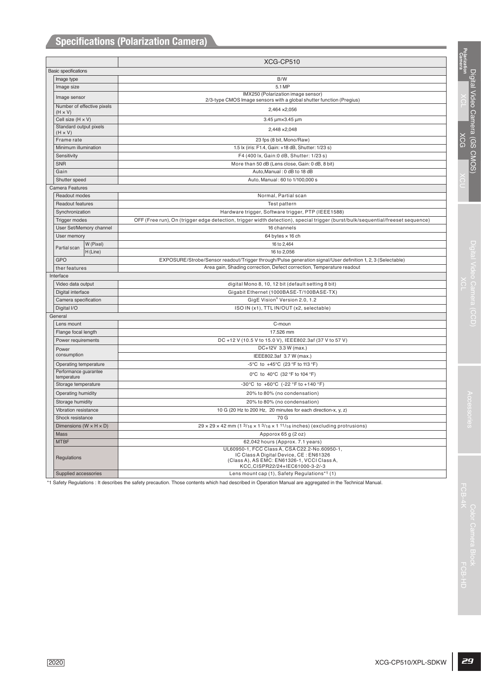| Polarization<br>Camera<br>XCG-CP510<br><b>Basic specifications</b><br>Image type<br>B/W<br>5.1 MP<br>Image size<br>IMX250 (Polarization image sensor)<br>Image sensor<br>2/3-type CMOS Image sensors with a global shutter function (Pregius)<br>Number of effective pixels<br>2,464 × 2,056<br>$(H \times V)$<br>Cell size (H x V)<br>3.45 µm×3.45 µm<br>Standard output pixels<br>2,448 × 2,048<br>$(H \times V)$<br>XCG<br>Frame rate<br>23 fps (8 bit, Mono/Raw)<br>Minimum illumination<br>1.5 lx (iris: F1.4, Gain: +18 dB, Shutter: 1/23 s)<br>F4 (400 lx, Gain: 0 dB, Shutter: 1/23 s)<br>Sensitivity<br><b>SNR</b><br>More than 50 dB (Lens close, Gain: 0 dB, 8 bit)<br>Gain<br>Auto, Manual: 0 dB to 18 dB<br>Shutter speed<br>Auto, Manual: 60 to 1/100,000 s<br>Camera Features<br>Readout modes<br>Normal, Partial scan<br>Test pattern<br>Readout features<br>Hardware trigger, Software trigger, PTP (IEEE1588)<br>Synchronization<br><b>Trigger modes</b><br>OFF (Free run), On (trigger edge detection, trigger width detection), special trigger (burst/bulk/sequential/freeset sequence)<br>User Set/Memory channel<br>16 channels<br>User memory<br>64 bytes $\times$ 16 ch<br>W (Pixel)<br>16 to 2,464<br>Partial scan<br>H (Line)<br>16 to 2,056<br>GPO<br>EXPOSURE/Strobe/Sensor readout/Trigger through/Pulse generation signal/User definition 1, 2, 3 (Selectable)<br>Area gain, Shading correction, Defect correction, Temperature readout<br>ther features<br>Interface<br>Video data output<br>digital Mono 8, 10, 12 bit (default setting 8 bit)<br>Digital interface<br>Gigabit Ethernet (1000BASE-T/100BASE-TX)<br>GigE Vision® Version 2.0, 1.2<br>Camera specification<br>Digital I/O<br>ISO IN (x1), TTL IN/OUT (x2, selectable)<br>General<br>C-moun<br>Lens mount<br>Flange focal length<br>17.526 mm<br>Power requirements<br>DC +12 V (10.5 V to 15.0 V), IEEE802.3af (37 V to 57 V)<br>DC+12V 3.3 W (max.)<br>Power<br>consumption<br>IEEE802.3af 3.7 W (max.)<br>-5°C to +45°C (23 °F to 113 °F)<br>Operating temperature<br>Performance guarantee<br>0°C to 40°C (32 °F to 104 °F)<br>temperature<br>-30°C to +60°C (-22 °F to +140 °F)<br>Storage temperature<br>Operating humidity<br>20% to 80% (no condensation)<br>20% to 80% (no condensation)<br>Storage humidity<br>10 G (20 Hz to 200 Hz, 20 minutes for each direction-x, y, z)<br>Vibration resistance<br>Shock resistance<br>70 G<br>$29 \times 29 \times 42$ mm (1 $3/16 \times 1$ $3/16 \times 1$ 11/16 inches) (excluding protrusions)<br>Dimensions ( $W \times H \times D$ )<br>Mass<br>Apporox 65 g (2 oz)<br><b>MTBF</b><br>62,042 hours (Approx. 7.1 years)<br>UL60950-1, FCC Class A, CSA C22.2-No.60950-1,<br>IC Class A Digital Device, CE: EN61326<br>Regulations<br>(Class A), AS EMC: EN61326-1, VCCI Class A,<br>KCC,CISPR22/24+IEC61000-3-2/-3<br>Lens mount cap (1), Safety Regulations*1 (1)<br>Supplied accessories<br>*1 Safety Regulations : It describes the safety precaution. Those contents which had described in Operation Manual are aggregated in the Technical Manual.<br>FCB-4 |      |                    |  |
|----------------------------------------------------------------------------------------------------------------------------------------------------------------------------------------------------------------------------------------------------------------------------------------------------------------------------------------------------------------------------------------------------------------------------------------------------------------------------------------------------------------------------------------------------------------------------------------------------------------------------------------------------------------------------------------------------------------------------------------------------------------------------------------------------------------------------------------------------------------------------------------------------------------------------------------------------------------------------------------------------------------------------------------------------------------------------------------------------------------------------------------------------------------------------------------------------------------------------------------------------------------------------------------------------------------------------------------------------------------------------------------------------------------------------------------------------------------------------------------------------------------------------------------------------------------------------------------------------------------------------------------------------------------------------------------------------------------------------------------------------------------------------------------------------------------------------------------------------------------------------------------------------------------------------------------------------------------------------------------------------------------------------------------------------------------------------------------------------------------------------------------------------------------------------------------------------------------------------------------------------------------------------------------------------------------------------------------------------------------------------------------------------------------------------------------------------------------------------------------------------------------------------------------------------------------------------------------------------------------------------------------------------------------------------------------------------------------------------------------------------------------------------------------------------------------------------------------------------------------------------------------------------------------------------------------------------------------------------------------------------------------------------------------------------------------------------------------------------------------------|------|--------------------|--|
|                                                                                                                                                                                                                                                                                                                                                                                                                                                                                                                                                                                                                                                                                                                                                                                                                                                                                                                                                                                                                                                                                                                                                                                                                                                                                                                                                                                                                                                                                                                                                                                                                                                                                                                                                                                                                                                                                                                                                                                                                                                                                                                                                                                                                                                                                                                                                                                                                                                                                                                                                                                                                                                                                                                                                                                                                                                                                                                                                                                                                                                                                                                      |      |                    |  |
|                                                                                                                                                                                                                                                                                                                                                                                                                                                                                                                                                                                                                                                                                                                                                                                                                                                                                                                                                                                                                                                                                                                                                                                                                                                                                                                                                                                                                                                                                                                                                                                                                                                                                                                                                                                                                                                                                                                                                                                                                                                                                                                                                                                                                                                                                                                                                                                                                                                                                                                                                                                                                                                                                                                                                                                                                                                                                                                                                                                                                                                                                                                      |      |                    |  |
|                                                                                                                                                                                                                                                                                                                                                                                                                                                                                                                                                                                                                                                                                                                                                                                                                                                                                                                                                                                                                                                                                                                                                                                                                                                                                                                                                                                                                                                                                                                                                                                                                                                                                                                                                                                                                                                                                                                                                                                                                                                                                                                                                                                                                                                                                                                                                                                                                                                                                                                                                                                                                                                                                                                                                                                                                                                                                                                                                                                                                                                                                                                      |      |                    |  |
|                                                                                                                                                                                                                                                                                                                                                                                                                                                                                                                                                                                                                                                                                                                                                                                                                                                                                                                                                                                                                                                                                                                                                                                                                                                                                                                                                                                                                                                                                                                                                                                                                                                                                                                                                                                                                                                                                                                                                                                                                                                                                                                                                                                                                                                                                                                                                                                                                                                                                                                                                                                                                                                                                                                                                                                                                                                                                                                                                                                                                                                                                                                      |      |                    |  |
|                                                                                                                                                                                                                                                                                                                                                                                                                                                                                                                                                                                                                                                                                                                                                                                                                                                                                                                                                                                                                                                                                                                                                                                                                                                                                                                                                                                                                                                                                                                                                                                                                                                                                                                                                                                                                                                                                                                                                                                                                                                                                                                                                                                                                                                                                                                                                                                                                                                                                                                                                                                                                                                                                                                                                                                                                                                                                                                                                                                                                                                                                                                      |      |                    |  |
|                                                                                                                                                                                                                                                                                                                                                                                                                                                                                                                                                                                                                                                                                                                                                                                                                                                                                                                                                                                                                                                                                                                                                                                                                                                                                                                                                                                                                                                                                                                                                                                                                                                                                                                                                                                                                                                                                                                                                                                                                                                                                                                                                                                                                                                                                                                                                                                                                                                                                                                                                                                                                                                                                                                                                                                                                                                                                                                                                                                                                                                                                                                      |      |                    |  |
|                                                                                                                                                                                                                                                                                                                                                                                                                                                                                                                                                                                                                                                                                                                                                                                                                                                                                                                                                                                                                                                                                                                                                                                                                                                                                                                                                                                                                                                                                                                                                                                                                                                                                                                                                                                                                                                                                                                                                                                                                                                                                                                                                                                                                                                                                                                                                                                                                                                                                                                                                                                                                                                                                                                                                                                                                                                                                                                                                                                                                                                                                                                      |      |                    |  |
|                                                                                                                                                                                                                                                                                                                                                                                                                                                                                                                                                                                                                                                                                                                                                                                                                                                                                                                                                                                                                                                                                                                                                                                                                                                                                                                                                                                                                                                                                                                                                                                                                                                                                                                                                                                                                                                                                                                                                                                                                                                                                                                                                                                                                                                                                                                                                                                                                                                                                                                                                                                                                                                                                                                                                                                                                                                                                                                                                                                                                                                                                                                      |      |                    |  |
|                                                                                                                                                                                                                                                                                                                                                                                                                                                                                                                                                                                                                                                                                                                                                                                                                                                                                                                                                                                                                                                                                                                                                                                                                                                                                                                                                                                                                                                                                                                                                                                                                                                                                                                                                                                                                                                                                                                                                                                                                                                                                                                                                                                                                                                                                                                                                                                                                                                                                                                                                                                                                                                                                                                                                                                                                                                                                                                                                                                                                                                                                                                      |      |                    |  |
|                                                                                                                                                                                                                                                                                                                                                                                                                                                                                                                                                                                                                                                                                                                                                                                                                                                                                                                                                                                                                                                                                                                                                                                                                                                                                                                                                                                                                                                                                                                                                                                                                                                                                                                                                                                                                                                                                                                                                                                                                                                                                                                                                                                                                                                                                                                                                                                                                                                                                                                                                                                                                                                                                                                                                                                                                                                                                                                                                                                                                                                                                                                      |      |                    |  |
|                                                                                                                                                                                                                                                                                                                                                                                                                                                                                                                                                                                                                                                                                                                                                                                                                                                                                                                                                                                                                                                                                                                                                                                                                                                                                                                                                                                                                                                                                                                                                                                                                                                                                                                                                                                                                                                                                                                                                                                                                                                                                                                                                                                                                                                                                                                                                                                                                                                                                                                                                                                                                                                                                                                                                                                                                                                                                                                                                                                                                                                                                                                      |      |                    |  |
|                                                                                                                                                                                                                                                                                                                                                                                                                                                                                                                                                                                                                                                                                                                                                                                                                                                                                                                                                                                                                                                                                                                                                                                                                                                                                                                                                                                                                                                                                                                                                                                                                                                                                                                                                                                                                                                                                                                                                                                                                                                                                                                                                                                                                                                                                                                                                                                                                                                                                                                                                                                                                                                                                                                                                                                                                                                                                                                                                                                                                                                                                                                      |      |                    |  |
|                                                                                                                                                                                                                                                                                                                                                                                                                                                                                                                                                                                                                                                                                                                                                                                                                                                                                                                                                                                                                                                                                                                                                                                                                                                                                                                                                                                                                                                                                                                                                                                                                                                                                                                                                                                                                                                                                                                                                                                                                                                                                                                                                                                                                                                                                                                                                                                                                                                                                                                                                                                                                                                                                                                                                                                                                                                                                                                                                                                                                                                                                                                      |      |                    |  |
|                                                                                                                                                                                                                                                                                                                                                                                                                                                                                                                                                                                                                                                                                                                                                                                                                                                                                                                                                                                                                                                                                                                                                                                                                                                                                                                                                                                                                                                                                                                                                                                                                                                                                                                                                                                                                                                                                                                                                                                                                                                                                                                                                                                                                                                                                                                                                                                                                                                                                                                                                                                                                                                                                                                                                                                                                                                                                                                                                                                                                                                                                                                      |      |                    |  |
|                                                                                                                                                                                                                                                                                                                                                                                                                                                                                                                                                                                                                                                                                                                                                                                                                                                                                                                                                                                                                                                                                                                                                                                                                                                                                                                                                                                                                                                                                                                                                                                                                                                                                                                                                                                                                                                                                                                                                                                                                                                                                                                                                                                                                                                                                                                                                                                                                                                                                                                                                                                                                                                                                                                                                                                                                                                                                                                                                                                                                                                                                                                      |      |                    |  |
|                                                                                                                                                                                                                                                                                                                                                                                                                                                                                                                                                                                                                                                                                                                                                                                                                                                                                                                                                                                                                                                                                                                                                                                                                                                                                                                                                                                                                                                                                                                                                                                                                                                                                                                                                                                                                                                                                                                                                                                                                                                                                                                                                                                                                                                                                                                                                                                                                                                                                                                                                                                                                                                                                                                                                                                                                                                                                                                                                                                                                                                                                                                      |      |                    |  |
|                                                                                                                                                                                                                                                                                                                                                                                                                                                                                                                                                                                                                                                                                                                                                                                                                                                                                                                                                                                                                                                                                                                                                                                                                                                                                                                                                                                                                                                                                                                                                                                                                                                                                                                                                                                                                                                                                                                                                                                                                                                                                                                                                                                                                                                                                                                                                                                                                                                                                                                                                                                                                                                                                                                                                                                                                                                                                                                                                                                                                                                                                                                      |      |                    |  |
|                                                                                                                                                                                                                                                                                                                                                                                                                                                                                                                                                                                                                                                                                                                                                                                                                                                                                                                                                                                                                                                                                                                                                                                                                                                                                                                                                                                                                                                                                                                                                                                                                                                                                                                                                                                                                                                                                                                                                                                                                                                                                                                                                                                                                                                                                                                                                                                                                                                                                                                                                                                                                                                                                                                                                                                                                                                                                                                                                                                                                                                                                                                      |      |                    |  |
|                                                                                                                                                                                                                                                                                                                                                                                                                                                                                                                                                                                                                                                                                                                                                                                                                                                                                                                                                                                                                                                                                                                                                                                                                                                                                                                                                                                                                                                                                                                                                                                                                                                                                                                                                                                                                                                                                                                                                                                                                                                                                                                                                                                                                                                                                                                                                                                                                                                                                                                                                                                                                                                                                                                                                                                                                                                                                                                                                                                                                                                                                                                      |      |                    |  |
|                                                                                                                                                                                                                                                                                                                                                                                                                                                                                                                                                                                                                                                                                                                                                                                                                                                                                                                                                                                                                                                                                                                                                                                                                                                                                                                                                                                                                                                                                                                                                                                                                                                                                                                                                                                                                                                                                                                                                                                                                                                                                                                                                                                                                                                                                                                                                                                                                                                                                                                                                                                                                                                                                                                                                                                                                                                                                                                                                                                                                                                                                                                      |      |                    |  |
|                                                                                                                                                                                                                                                                                                                                                                                                                                                                                                                                                                                                                                                                                                                                                                                                                                                                                                                                                                                                                                                                                                                                                                                                                                                                                                                                                                                                                                                                                                                                                                                                                                                                                                                                                                                                                                                                                                                                                                                                                                                                                                                                                                                                                                                                                                                                                                                                                                                                                                                                                                                                                                                                                                                                                                                                                                                                                                                                                                                                                                                                                                                      |      |                    |  |
|                                                                                                                                                                                                                                                                                                                                                                                                                                                                                                                                                                                                                                                                                                                                                                                                                                                                                                                                                                                                                                                                                                                                                                                                                                                                                                                                                                                                                                                                                                                                                                                                                                                                                                                                                                                                                                                                                                                                                                                                                                                                                                                                                                                                                                                                                                                                                                                                                                                                                                                                                                                                                                                                                                                                                                                                                                                                                                                                                                                                                                                                                                                      |      |                    |  |
|                                                                                                                                                                                                                                                                                                                                                                                                                                                                                                                                                                                                                                                                                                                                                                                                                                                                                                                                                                                                                                                                                                                                                                                                                                                                                                                                                                                                                                                                                                                                                                                                                                                                                                                                                                                                                                                                                                                                                                                                                                                                                                                                                                                                                                                                                                                                                                                                                                                                                                                                                                                                                                                                                                                                                                                                                                                                                                                                                                                                                                                                                                                      |      |                    |  |
|                                                                                                                                                                                                                                                                                                                                                                                                                                                                                                                                                                                                                                                                                                                                                                                                                                                                                                                                                                                                                                                                                                                                                                                                                                                                                                                                                                                                                                                                                                                                                                                                                                                                                                                                                                                                                                                                                                                                                                                                                                                                                                                                                                                                                                                                                                                                                                                                                                                                                                                                                                                                                                                                                                                                                                                                                                                                                                                                                                                                                                                                                                                      |      |                    |  |
|                                                                                                                                                                                                                                                                                                                                                                                                                                                                                                                                                                                                                                                                                                                                                                                                                                                                                                                                                                                                                                                                                                                                                                                                                                                                                                                                                                                                                                                                                                                                                                                                                                                                                                                                                                                                                                                                                                                                                                                                                                                                                                                                                                                                                                                                                                                                                                                                                                                                                                                                                                                                                                                                                                                                                                                                                                                                                                                                                                                                                                                                                                                      |      |                    |  |
|                                                                                                                                                                                                                                                                                                                                                                                                                                                                                                                                                                                                                                                                                                                                                                                                                                                                                                                                                                                                                                                                                                                                                                                                                                                                                                                                                                                                                                                                                                                                                                                                                                                                                                                                                                                                                                                                                                                                                                                                                                                                                                                                                                                                                                                                                                                                                                                                                                                                                                                                                                                                                                                                                                                                                                                                                                                                                                                                                                                                                                                                                                                      |      |                    |  |
|                                                                                                                                                                                                                                                                                                                                                                                                                                                                                                                                                                                                                                                                                                                                                                                                                                                                                                                                                                                                                                                                                                                                                                                                                                                                                                                                                                                                                                                                                                                                                                                                                                                                                                                                                                                                                                                                                                                                                                                                                                                                                                                                                                                                                                                                                                                                                                                                                                                                                                                                                                                                                                                                                                                                                                                                                                                                                                                                                                                                                                                                                                                      |      |                    |  |
|                                                                                                                                                                                                                                                                                                                                                                                                                                                                                                                                                                                                                                                                                                                                                                                                                                                                                                                                                                                                                                                                                                                                                                                                                                                                                                                                                                                                                                                                                                                                                                                                                                                                                                                                                                                                                                                                                                                                                                                                                                                                                                                                                                                                                                                                                                                                                                                                                                                                                                                                                                                                                                                                                                                                                                                                                                                                                                                                                                                                                                                                                                                      |      |                    |  |
|                                                                                                                                                                                                                                                                                                                                                                                                                                                                                                                                                                                                                                                                                                                                                                                                                                                                                                                                                                                                                                                                                                                                                                                                                                                                                                                                                                                                                                                                                                                                                                                                                                                                                                                                                                                                                                                                                                                                                                                                                                                                                                                                                                                                                                                                                                                                                                                                                                                                                                                                                                                                                                                                                                                                                                                                                                                                                                                                                                                                                                                                                                                      |      |                    |  |
|                                                                                                                                                                                                                                                                                                                                                                                                                                                                                                                                                                                                                                                                                                                                                                                                                                                                                                                                                                                                                                                                                                                                                                                                                                                                                                                                                                                                                                                                                                                                                                                                                                                                                                                                                                                                                                                                                                                                                                                                                                                                                                                                                                                                                                                                                                                                                                                                                                                                                                                                                                                                                                                                                                                                                                                                                                                                                                                                                                                                                                                                                                                      |      |                    |  |
|                                                                                                                                                                                                                                                                                                                                                                                                                                                                                                                                                                                                                                                                                                                                                                                                                                                                                                                                                                                                                                                                                                                                                                                                                                                                                                                                                                                                                                                                                                                                                                                                                                                                                                                                                                                                                                                                                                                                                                                                                                                                                                                                                                                                                                                                                                                                                                                                                                                                                                                                                                                                                                                                                                                                                                                                                                                                                                                                                                                                                                                                                                                      |      |                    |  |
|                                                                                                                                                                                                                                                                                                                                                                                                                                                                                                                                                                                                                                                                                                                                                                                                                                                                                                                                                                                                                                                                                                                                                                                                                                                                                                                                                                                                                                                                                                                                                                                                                                                                                                                                                                                                                                                                                                                                                                                                                                                                                                                                                                                                                                                                                                                                                                                                                                                                                                                                                                                                                                                                                                                                                                                                                                                                                                                                                                                                                                                                                                                      |      |                    |  |
|                                                                                                                                                                                                                                                                                                                                                                                                                                                                                                                                                                                                                                                                                                                                                                                                                                                                                                                                                                                                                                                                                                                                                                                                                                                                                                                                                                                                                                                                                                                                                                                                                                                                                                                                                                                                                                                                                                                                                                                                                                                                                                                                                                                                                                                                                                                                                                                                                                                                                                                                                                                                                                                                                                                                                                                                                                                                                                                                                                                                                                                                                                                      |      |                    |  |
|                                                                                                                                                                                                                                                                                                                                                                                                                                                                                                                                                                                                                                                                                                                                                                                                                                                                                                                                                                                                                                                                                                                                                                                                                                                                                                                                                                                                                                                                                                                                                                                                                                                                                                                                                                                                                                                                                                                                                                                                                                                                                                                                                                                                                                                                                                                                                                                                                                                                                                                                                                                                                                                                                                                                                                                                                                                                                                                                                                                                                                                                                                                      |      |                    |  |
|                                                                                                                                                                                                                                                                                                                                                                                                                                                                                                                                                                                                                                                                                                                                                                                                                                                                                                                                                                                                                                                                                                                                                                                                                                                                                                                                                                                                                                                                                                                                                                                                                                                                                                                                                                                                                                                                                                                                                                                                                                                                                                                                                                                                                                                                                                                                                                                                                                                                                                                                                                                                                                                                                                                                                                                                                                                                                                                                                                                                                                                                                                                      |      |                    |  |
|                                                                                                                                                                                                                                                                                                                                                                                                                                                                                                                                                                                                                                                                                                                                                                                                                                                                                                                                                                                                                                                                                                                                                                                                                                                                                                                                                                                                                                                                                                                                                                                                                                                                                                                                                                                                                                                                                                                                                                                                                                                                                                                                                                                                                                                                                                                                                                                                                                                                                                                                                                                                                                                                                                                                                                                                                                                                                                                                                                                                                                                                                                                      |      |                    |  |
|                                                                                                                                                                                                                                                                                                                                                                                                                                                                                                                                                                                                                                                                                                                                                                                                                                                                                                                                                                                                                                                                                                                                                                                                                                                                                                                                                                                                                                                                                                                                                                                                                                                                                                                                                                                                                                                                                                                                                                                                                                                                                                                                                                                                                                                                                                                                                                                                                                                                                                                                                                                                                                                                                                                                                                                                                                                                                                                                                                                                                                                                                                                      |      |                    |  |
|                                                                                                                                                                                                                                                                                                                                                                                                                                                                                                                                                                                                                                                                                                                                                                                                                                                                                                                                                                                                                                                                                                                                                                                                                                                                                                                                                                                                                                                                                                                                                                                                                                                                                                                                                                                                                                                                                                                                                                                                                                                                                                                                                                                                                                                                                                                                                                                                                                                                                                                                                                                                                                                                                                                                                                                                                                                                                                                                                                                                                                                                                                                      |      |                    |  |
|                                                                                                                                                                                                                                                                                                                                                                                                                                                                                                                                                                                                                                                                                                                                                                                                                                                                                                                                                                                                                                                                                                                                                                                                                                                                                                                                                                                                                                                                                                                                                                                                                                                                                                                                                                                                                                                                                                                                                                                                                                                                                                                                                                                                                                                                                                                                                                                                                                                                                                                                                                                                                                                                                                                                                                                                                                                                                                                                                                                                                                                                                                                      |      |                    |  |
|                                                                                                                                                                                                                                                                                                                                                                                                                                                                                                                                                                                                                                                                                                                                                                                                                                                                                                                                                                                                                                                                                                                                                                                                                                                                                                                                                                                                                                                                                                                                                                                                                                                                                                                                                                                                                                                                                                                                                                                                                                                                                                                                                                                                                                                                                                                                                                                                                                                                                                                                                                                                                                                                                                                                                                                                                                                                                                                                                                                                                                                                                                                      |      |                    |  |
|                                                                                                                                                                                                                                                                                                                                                                                                                                                                                                                                                                                                                                                                                                                                                                                                                                                                                                                                                                                                                                                                                                                                                                                                                                                                                                                                                                                                                                                                                                                                                                                                                                                                                                                                                                                                                                                                                                                                                                                                                                                                                                                                                                                                                                                                                                                                                                                                                                                                                                                                                                                                                                                                                                                                                                                                                                                                                                                                                                                                                                                                                                                      |      |                    |  |
|                                                                                                                                                                                                                                                                                                                                                                                                                                                                                                                                                                                                                                                                                                                                                                                                                                                                                                                                                                                                                                                                                                                                                                                                                                                                                                                                                                                                                                                                                                                                                                                                                                                                                                                                                                                                                                                                                                                                                                                                                                                                                                                                                                                                                                                                                                                                                                                                                                                                                                                                                                                                                                                                                                                                                                                                                                                                                                                                                                                                                                                                                                                      |      |                    |  |
|                                                                                                                                                                                                                                                                                                                                                                                                                                                                                                                                                                                                                                                                                                                                                                                                                                                                                                                                                                                                                                                                                                                                                                                                                                                                                                                                                                                                                                                                                                                                                                                                                                                                                                                                                                                                                                                                                                                                                                                                                                                                                                                                                                                                                                                                                                                                                                                                                                                                                                                                                                                                                                                                                                                                                                                                                                                                                                                                                                                                                                                                                                                      |      |                    |  |
|                                                                                                                                                                                                                                                                                                                                                                                                                                                                                                                                                                                                                                                                                                                                                                                                                                                                                                                                                                                                                                                                                                                                                                                                                                                                                                                                                                                                                                                                                                                                                                                                                                                                                                                                                                                                                                                                                                                                                                                                                                                                                                                                                                                                                                                                                                                                                                                                                                                                                                                                                                                                                                                                                                                                                                                                                                                                                                                                                                                                                                                                                                                      |      |                    |  |
|                                                                                                                                                                                                                                                                                                                                                                                                                                                                                                                                                                                                                                                                                                                                                                                                                                                                                                                                                                                                                                                                                                                                                                                                                                                                                                                                                                                                                                                                                                                                                                                                                                                                                                                                                                                                                                                                                                                                                                                                                                                                                                                                                                                                                                                                                                                                                                                                                                                                                                                                                                                                                                                                                                                                                                                                                                                                                                                                                                                                                                                                                                                      |      |                    |  |
|                                                                                                                                                                                                                                                                                                                                                                                                                                                                                                                                                                                                                                                                                                                                                                                                                                                                                                                                                                                                                                                                                                                                                                                                                                                                                                                                                                                                                                                                                                                                                                                                                                                                                                                                                                                                                                                                                                                                                                                                                                                                                                                                                                                                                                                                                                                                                                                                                                                                                                                                                                                                                                                                                                                                                                                                                                                                                                                                                                                                                                                                                                                      |      |                    |  |
|                                                                                                                                                                                                                                                                                                                                                                                                                                                                                                                                                                                                                                                                                                                                                                                                                                                                                                                                                                                                                                                                                                                                                                                                                                                                                                                                                                                                                                                                                                                                                                                                                                                                                                                                                                                                                                                                                                                                                                                                                                                                                                                                                                                                                                                                                                                                                                                                                                                                                                                                                                                                                                                                                                                                                                                                                                                                                                                                                                                                                                                                                                                      |      |                    |  |
|                                                                                                                                                                                                                                                                                                                                                                                                                                                                                                                                                                                                                                                                                                                                                                                                                                                                                                                                                                                                                                                                                                                                                                                                                                                                                                                                                                                                                                                                                                                                                                                                                                                                                                                                                                                                                                                                                                                                                                                                                                                                                                                                                                                                                                                                                                                                                                                                                                                                                                                                                                                                                                                                                                                                                                                                                                                                                                                                                                                                                                                                                                                      |      |                    |  |
|                                                                                                                                                                                                                                                                                                                                                                                                                                                                                                                                                                                                                                                                                                                                                                                                                                                                                                                                                                                                                                                                                                                                                                                                                                                                                                                                                                                                                                                                                                                                                                                                                                                                                                                                                                                                                                                                                                                                                                                                                                                                                                                                                                                                                                                                                                                                                                                                                                                                                                                                                                                                                                                                                                                                                                                                                                                                                                                                                                                                                                                                                                                      |      |                    |  |
|                                                                                                                                                                                                                                                                                                                                                                                                                                                                                                                                                                                                                                                                                                                                                                                                                                                                                                                                                                                                                                                                                                                                                                                                                                                                                                                                                                                                                                                                                                                                                                                                                                                                                                                                                                                                                                                                                                                                                                                                                                                                                                                                                                                                                                                                                                                                                                                                                                                                                                                                                                                                                                                                                                                                                                                                                                                                                                                                                                                                                                                                                                                      |      |                    |  |
|                                                                                                                                                                                                                                                                                                                                                                                                                                                                                                                                                                                                                                                                                                                                                                                                                                                                                                                                                                                                                                                                                                                                                                                                                                                                                                                                                                                                                                                                                                                                                                                                                                                                                                                                                                                                                                                                                                                                                                                                                                                                                                                                                                                                                                                                                                                                                                                                                                                                                                                                                                                                                                                                                                                                                                                                                                                                                                                                                                                                                                                                                                                      |      |                    |  |
|                                                                                                                                                                                                                                                                                                                                                                                                                                                                                                                                                                                                                                                                                                                                                                                                                                                                                                                                                                                                                                                                                                                                                                                                                                                                                                                                                                                                                                                                                                                                                                                                                                                                                                                                                                                                                                                                                                                                                                                                                                                                                                                                                                                                                                                                                                                                                                                                                                                                                                                                                                                                                                                                                                                                                                                                                                                                                                                                                                                                                                                                                                                      |      |                    |  |
|                                                                                                                                                                                                                                                                                                                                                                                                                                                                                                                                                                                                                                                                                                                                                                                                                                                                                                                                                                                                                                                                                                                                                                                                                                                                                                                                                                                                                                                                                                                                                                                                                                                                                                                                                                                                                                                                                                                                                                                                                                                                                                                                                                                                                                                                                                                                                                                                                                                                                                                                                                                                                                                                                                                                                                                                                                                                                                                                                                                                                                                                                                                      |      |                    |  |
|                                                                                                                                                                                                                                                                                                                                                                                                                                                                                                                                                                                                                                                                                                                                                                                                                                                                                                                                                                                                                                                                                                                                                                                                                                                                                                                                                                                                                                                                                                                                                                                                                                                                                                                                                                                                                                                                                                                                                                                                                                                                                                                                                                                                                                                                                                                                                                                                                                                                                                                                                                                                                                                                                                                                                                                                                                                                                                                                                                                                                                                                                                                      |      |                    |  |
|                                                                                                                                                                                                                                                                                                                                                                                                                                                                                                                                                                                                                                                                                                                                                                                                                                                                                                                                                                                                                                                                                                                                                                                                                                                                                                                                                                                                                                                                                                                                                                                                                                                                                                                                                                                                                                                                                                                                                                                                                                                                                                                                                                                                                                                                                                                                                                                                                                                                                                                                                                                                                                                                                                                                                                                                                                                                                                                                                                                                                                                                                                                      |      |                    |  |
|                                                                                                                                                                                                                                                                                                                                                                                                                                                                                                                                                                                                                                                                                                                                                                                                                                                                                                                                                                                                                                                                                                                                                                                                                                                                                                                                                                                                                                                                                                                                                                                                                                                                                                                                                                                                                                                                                                                                                                                                                                                                                                                                                                                                                                                                                                                                                                                                                                                                                                                                                                                                                                                                                                                                                                                                                                                                                                                                                                                                                                                                                                                      |      |                    |  |
|                                                                                                                                                                                                                                                                                                                                                                                                                                                                                                                                                                                                                                                                                                                                                                                                                                                                                                                                                                                                                                                                                                                                                                                                                                                                                                                                                                                                                                                                                                                                                                                                                                                                                                                                                                                                                                                                                                                                                                                                                                                                                                                                                                                                                                                                                                                                                                                                                                                                                                                                                                                                                                                                                                                                                                                                                                                                                                                                                                                                                                                                                                                      |      |                    |  |
|                                                                                                                                                                                                                                                                                                                                                                                                                                                                                                                                                                                                                                                                                                                                                                                                                                                                                                                                                                                                                                                                                                                                                                                                                                                                                                                                                                                                                                                                                                                                                                                                                                                                                                                                                                                                                                                                                                                                                                                                                                                                                                                                                                                                                                                                                                                                                                                                                                                                                                                                                                                                                                                                                                                                                                                                                                                                                                                                                                                                                                                                                                                      |      |                    |  |
|                                                                                                                                                                                                                                                                                                                                                                                                                                                                                                                                                                                                                                                                                                                                                                                                                                                                                                                                                                                                                                                                                                                                                                                                                                                                                                                                                                                                                                                                                                                                                                                                                                                                                                                                                                                                                                                                                                                                                                                                                                                                                                                                                                                                                                                                                                                                                                                                                                                                                                                                                                                                                                                                                                                                                                                                                                                                                                                                                                                                                                                                                                                      |      |                    |  |
|                                                                                                                                                                                                                                                                                                                                                                                                                                                                                                                                                                                                                                                                                                                                                                                                                                                                                                                                                                                                                                                                                                                                                                                                                                                                                                                                                                                                                                                                                                                                                                                                                                                                                                                                                                                                                                                                                                                                                                                                                                                                                                                                                                                                                                                                                                                                                                                                                                                                                                                                                                                                                                                                                                                                                                                                                                                                                                                                                                                                                                                                                                                      |      |                    |  |
|                                                                                                                                                                                                                                                                                                                                                                                                                                                                                                                                                                                                                                                                                                                                                                                                                                                                                                                                                                                                                                                                                                                                                                                                                                                                                                                                                                                                                                                                                                                                                                                                                                                                                                                                                                                                                                                                                                                                                                                                                                                                                                                                                                                                                                                                                                                                                                                                                                                                                                                                                                                                                                                                                                                                                                                                                                                                                                                                                                                                                                                                                                                      |      |                    |  |
|                                                                                                                                                                                                                                                                                                                                                                                                                                                                                                                                                                                                                                                                                                                                                                                                                                                                                                                                                                                                                                                                                                                                                                                                                                                                                                                                                                                                                                                                                                                                                                                                                                                                                                                                                                                                                                                                                                                                                                                                                                                                                                                                                                                                                                                                                                                                                                                                                                                                                                                                                                                                                                                                                                                                                                                                                                                                                                                                                                                                                                                                                                                      |      |                    |  |
|                                                                                                                                                                                                                                                                                                                                                                                                                                                                                                                                                                                                                                                                                                                                                                                                                                                                                                                                                                                                                                                                                                                                                                                                                                                                                                                                                                                                                                                                                                                                                                                                                                                                                                                                                                                                                                                                                                                                                                                                                                                                                                                                                                                                                                                                                                                                                                                                                                                                                                                                                                                                                                                                                                                                                                                                                                                                                                                                                                                                                                                                                                                      |      |                    |  |
|                                                                                                                                                                                                                                                                                                                                                                                                                                                                                                                                                                                                                                                                                                                                                                                                                                                                                                                                                                                                                                                                                                                                                                                                                                                                                                                                                                                                                                                                                                                                                                                                                                                                                                                                                                                                                                                                                                                                                                                                                                                                                                                                                                                                                                                                                                                                                                                                                                                                                                                                                                                                                                                                                                                                                                                                                                                                                                                                                                                                                                                                                                                      |      |                    |  |
|                                                                                                                                                                                                                                                                                                                                                                                                                                                                                                                                                                                                                                                                                                                                                                                                                                                                                                                                                                                                                                                                                                                                                                                                                                                                                                                                                                                                                                                                                                                                                                                                                                                                                                                                                                                                                                                                                                                                                                                                                                                                                                                                                                                                                                                                                                                                                                                                                                                                                                                                                                                                                                                                                                                                                                                                                                                                                                                                                                                                                                                                                                                      |      |                    |  |
|                                                                                                                                                                                                                                                                                                                                                                                                                                                                                                                                                                                                                                                                                                                                                                                                                                                                                                                                                                                                                                                                                                                                                                                                                                                                                                                                                                                                                                                                                                                                                                                                                                                                                                                                                                                                                                                                                                                                                                                                                                                                                                                                                                                                                                                                                                                                                                                                                                                                                                                                                                                                                                                                                                                                                                                                                                                                                                                                                                                                                                                                                                                      |      |                    |  |
|                                                                                                                                                                                                                                                                                                                                                                                                                                                                                                                                                                                                                                                                                                                                                                                                                                                                                                                                                                                                                                                                                                                                                                                                                                                                                                                                                                                                                                                                                                                                                                                                                                                                                                                                                                                                                                                                                                                                                                                                                                                                                                                                                                                                                                                                                                                                                                                                                                                                                                                                                                                                                                                                                                                                                                                                                                                                                                                                                                                                                                                                                                                      |      |                    |  |
|                                                                                                                                                                                                                                                                                                                                                                                                                                                                                                                                                                                                                                                                                                                                                                                                                                                                                                                                                                                                                                                                                                                                                                                                                                                                                                                                                                                                                                                                                                                                                                                                                                                                                                                                                                                                                                                                                                                                                                                                                                                                                                                                                                                                                                                                                                                                                                                                                                                                                                                                                                                                                                                                                                                                                                                                                                                                                                                                                                                                                                                                                                                      |      |                    |  |
|                                                                                                                                                                                                                                                                                                                                                                                                                                                                                                                                                                                                                                                                                                                                                                                                                                                                                                                                                                                                                                                                                                                                                                                                                                                                                                                                                                                                                                                                                                                                                                                                                                                                                                                                                                                                                                                                                                                                                                                                                                                                                                                                                                                                                                                                                                                                                                                                                                                                                                                                                                                                                                                                                                                                                                                                                                                                                                                                                                                                                                                                                                                      |      |                    |  |
|                                                                                                                                                                                                                                                                                                                                                                                                                                                                                                                                                                                                                                                                                                                                                                                                                                                                                                                                                                                                                                                                                                                                                                                                                                                                                                                                                                                                                                                                                                                                                                                                                                                                                                                                                                                                                                                                                                                                                                                                                                                                                                                                                                                                                                                                                                                                                                                                                                                                                                                                                                                                                                                                                                                                                                                                                                                                                                                                                                                                                                                                                                                      |      |                    |  |
|                                                                                                                                                                                                                                                                                                                                                                                                                                                                                                                                                                                                                                                                                                                                                                                                                                                                                                                                                                                                                                                                                                                                                                                                                                                                                                                                                                                                                                                                                                                                                                                                                                                                                                                                                                                                                                                                                                                                                                                                                                                                                                                                                                                                                                                                                                                                                                                                                                                                                                                                                                                                                                                                                                                                                                                                                                                                                                                                                                                                                                                                                                                      |      |                    |  |
| FCB-HD                                                                                                                                                                                                                                                                                                                                                                                                                                                                                                                                                                                                                                                                                                                                                                                                                                                                                                                                                                                                                                                                                                                                                                                                                                                                                                                                                                                                                                                                                                                                                                                                                                                                                                                                                                                                                                                                                                                                                                                                                                                                                                                                                                                                                                                                                                                                                                                                                                                                                                                                                                                                                                                                                                                                                                                                                                                                                                                                                                                                                                                                                                               |      |                    |  |
|                                                                                                                                                                                                                                                                                                                                                                                                                                                                                                                                                                                                                                                                                                                                                                                                                                                                                                                                                                                                                                                                                                                                                                                                                                                                                                                                                                                                                                                                                                                                                                                                                                                                                                                                                                                                                                                                                                                                                                                                                                                                                                                                                                                                                                                                                                                                                                                                                                                                                                                                                                                                                                                                                                                                                                                                                                                                                                                                                                                                                                                                                                                      |      |                    |  |
|                                                                                                                                                                                                                                                                                                                                                                                                                                                                                                                                                                                                                                                                                                                                                                                                                                                                                                                                                                                                                                                                                                                                                                                                                                                                                                                                                                                                                                                                                                                                                                                                                                                                                                                                                                                                                                                                                                                                                                                                                                                                                                                                                                                                                                                                                                                                                                                                                                                                                                                                                                                                                                                                                                                                                                                                                                                                                                                                                                                                                                                                                                                      |      |                    |  |
|                                                                                                                                                                                                                                                                                                                                                                                                                                                                                                                                                                                                                                                                                                                                                                                                                                                                                                                                                                                                                                                                                                                                                                                                                                                                                                                                                                                                                                                                                                                                                                                                                                                                                                                                                                                                                                                                                                                                                                                                                                                                                                                                                                                                                                                                                                                                                                                                                                                                                                                                                                                                                                                                                                                                                                                                                                                                                                                                                                                                                                                                                                                      |      |                    |  |
|                                                                                                                                                                                                                                                                                                                                                                                                                                                                                                                                                                                                                                                                                                                                                                                                                                                                                                                                                                                                                                                                                                                                                                                                                                                                                                                                                                                                                                                                                                                                                                                                                                                                                                                                                                                                                                                                                                                                                                                                                                                                                                                                                                                                                                                                                                                                                                                                                                                                                                                                                                                                                                                                                                                                                                                                                                                                                                                                                                                                                                                                                                                      |      |                    |  |
|                                                                                                                                                                                                                                                                                                                                                                                                                                                                                                                                                                                                                                                                                                                                                                                                                                                                                                                                                                                                                                                                                                                                                                                                                                                                                                                                                                                                                                                                                                                                                                                                                                                                                                                                                                                                                                                                                                                                                                                                                                                                                                                                                                                                                                                                                                                                                                                                                                                                                                                                                                                                                                                                                                                                                                                                                                                                                                                                                                                                                                                                                                                      |      |                    |  |
|                                                                                                                                                                                                                                                                                                                                                                                                                                                                                                                                                                                                                                                                                                                                                                                                                                                                                                                                                                                                                                                                                                                                                                                                                                                                                                                                                                                                                                                                                                                                                                                                                                                                                                                                                                                                                                                                                                                                                                                                                                                                                                                                                                                                                                                                                                                                                                                                                                                                                                                                                                                                                                                                                                                                                                                                                                                                                                                                                                                                                                                                                                                      |      |                    |  |
|                                                                                                                                                                                                                                                                                                                                                                                                                                                                                                                                                                                                                                                                                                                                                                                                                                                                                                                                                                                                                                                                                                                                                                                                                                                                                                                                                                                                                                                                                                                                                                                                                                                                                                                                                                                                                                                                                                                                                                                                                                                                                                                                                                                                                                                                                                                                                                                                                                                                                                                                                                                                                                                                                                                                                                                                                                                                                                                                                                                                                                                                                                                      |      |                    |  |
|                                                                                                                                                                                                                                                                                                                                                                                                                                                                                                                                                                                                                                                                                                                                                                                                                                                                                                                                                                                                                                                                                                                                                                                                                                                                                                                                                                                                                                                                                                                                                                                                                                                                                                                                                                                                                                                                                                                                                                                                                                                                                                                                                                                                                                                                                                                                                                                                                                                                                                                                                                                                                                                                                                                                                                                                                                                                                                                                                                                                                                                                                                                      | 2020 | XCG-CP510/XPL-SDKW |  |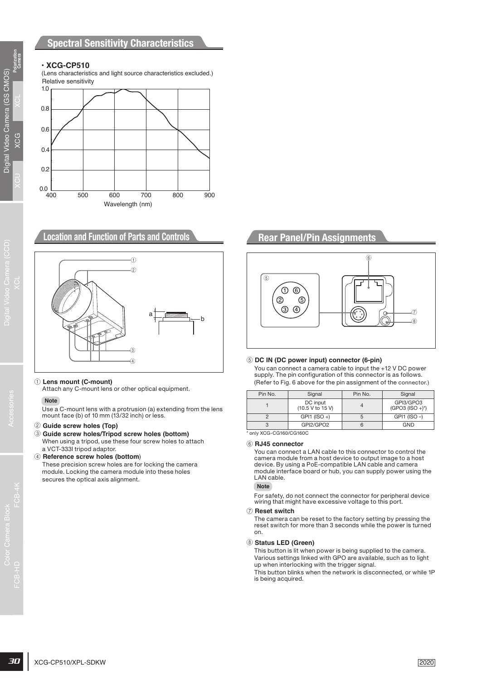### **Spectral Sensitivity Characteristics**

### **• XCG-CP510**

Relative sensitivity (Lens characteristics and light source characteristics excluded.)



### **Location and Function of Parts and Controls**



#### 1 **Lens mount (C-mount)**

Attach any C-mount lens or other optical equipment.

#### **Note**

Use a C-mount lens with a protrusion (a) extending from the lens mount face (b) of 10 mm (13/32 inch) or less.

#### 2 **Guide screw holes (Top)**

3 **Guide screw holes/Tripod screw holes (bottom)** When using a tripod, use these four screw holes to attach a VCT-333I tripod adaptor.

#### 4 **Reference screw holes (bottom**)

These precision screw holes are for locking the camera module. Locking the camera module into these holes secures the optical axis alignment.

# **Rear Panel/Pin Assignments**



#### 5 **DC IN (DC power input) connector (6-pin)**

You can connect a camera cable to input the +12 V DC power supply. The pin configuration of this connector is as follows. (Refer to Fig. 6 above for the pin assignment of the connector.)

| Pin No. | Signal                       | Pin No. | Signal                          |
|---------|------------------------------|---------|---------------------------------|
|         | DC input<br>(10.5 V to 15 V) |         | GPI3/GPO3<br>$(GPO3 (ISO +)^*)$ |
|         | $GPI1 (ISO +)$               |         | $GPI1$ ( $ISO$ -)               |
|         | GPI2/GPO2                    |         | <b>GND</b>                      |

\* only XCG-CG160/CG160C

#### 6 **RJ45 connector**

You can connect a LAN cable to this connector to control the camera module from a host device to output image to a host device. By using a PoE-compatible LAN cable and camera module interface board or hub, you can supply power using the LAN cable.

#### **Note**

For safety, do not connect the connector for peripheral device wiring that might have excessive voltage to this port.

#### 7 **Reset switch**

The camera can be reset to the factory setting by pressing the reset switch for more than 3 seconds while the power is turned on.

#### 8 **Status LED (Green)**

This button is lit when power is being supplied to the camera. Various settings linked with GPO are available, such as to light up when interlocking with the trigger signal.

This button blinks when the network is disconnected, or while 1P is being acquired.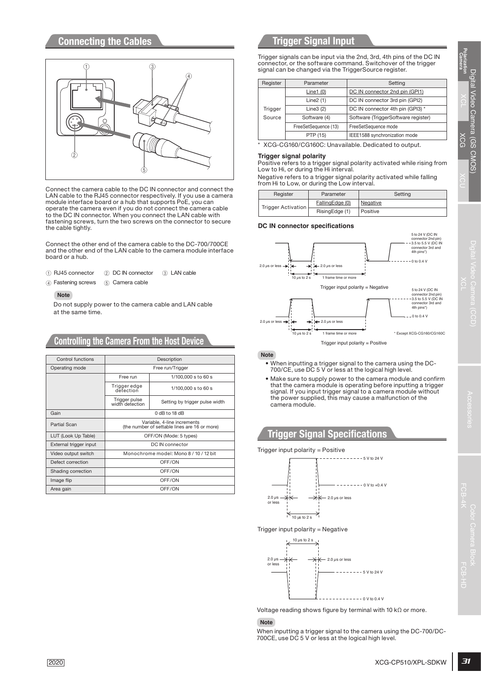# **Connecting the Cables**



- $(1)$  RJ45 connector  $(2)$  DC IN connector  $(3)$  LAN cable
- (4) Fastening screws (5) Camera cable

#### **Note**

### **Controlling the Camera From the Host Device**

|                        |                                  | 3                                                                                                                                                                                                 |                                     | signal can be changed via the TriggerSource register.                                             |                                   | Trigger signals can be input via the 2nd, 3rd, 4th pins of the DC IN<br>connector, or the software command. Switchover of the trigger                       |
|------------------------|----------------------------------|---------------------------------------------------------------------------------------------------------------------------------------------------------------------------------------------------|-------------------------------------|---------------------------------------------------------------------------------------------------|-----------------------------------|-------------------------------------------------------------------------------------------------------------------------------------------------------------|
|                        |                                  |                                                                                                                                                                                                   |                                     |                                                                                                   |                                   |                                                                                                                                                             |
|                        |                                  |                                                                                                                                                                                                   | Register                            | Parameter                                                                                         |                                   | Setting                                                                                                                                                     |
|                        |                                  |                                                                                                                                                                                                   |                                     | Line1(0)                                                                                          |                                   | DC IN connector 2nd pin (GPI1)                                                                                                                              |
|                        |                                  |                                                                                                                                                                                                   |                                     | Line $2(1)$<br>Line $3(2)$                                                                        |                                   | DC IN connector 3rd pin (GPI2)<br>DC IN connector 4th pin (GPI3) *                                                                                          |
|                        |                                  |                                                                                                                                                                                                   | Trigger<br>Source                   | Software (4)                                                                                      |                                   | Software (TriggerSoftware register)                                                                                                                         |
|                        | О                                |                                                                                                                                                                                                   |                                     | FreeSetSequence (13)                                                                              |                                   | FreeSetSequence mode                                                                                                                                        |
|                        |                                  |                                                                                                                                                                                                   |                                     | PTP (15)                                                                                          |                                   | IEEE1588 synchronization mode                                                                                                                               |
|                        |                                  |                                                                                                                                                                                                   |                                     |                                                                                                   |                                   | * XCG-CG160/CG160C: Unavailable. Dedicated to output.                                                                                                       |
|                        |                                  | Connect the camera cable to the DC IN connector and connect the<br>LAN cable to the RJ45 connector respectively. If you use a camera                                                              | Trigger signal polarity<br>Register | Low to Hi, or during the Hi interval.<br>from Hi to Low, or during the Low interval.<br>Parameter |                                   | Positive refers to a trigger signal polarity activated while rising from<br>Negative refers to a trigger signal polarity activated while falling<br>Setting |
|                        |                                  | module interface board or a hub that supports PoE, you can                                                                                                                                        |                                     | FallingEdge (0)                                                                                   |                                   | Negative                                                                                                                                                    |
|                        |                                  | operate the camera even if you do not connect the camera cable<br>to the DC IN connector. When you connect the LAN cable with<br>fastening screws, turn the two screws on the connector to secure | <b>Trigger Activation</b>           | RisingEdge (1)                                                                                    |                                   | Positive                                                                                                                                                    |
| the cable tightly.     |                                  |                                                                                                                                                                                                   |                                     | DC IN connector specifications                                                                    |                                   | 5 to 24 V (DC IN                                                                                                                                            |
|                        |                                  | Connect the other end of the camera cable to the DC-700/700CE                                                                                                                                     |                                     |                                                                                                   |                                   | connector 2nd pin)<br>3.5 to 5.5 V (DC IN                                                                                                                   |
|                        |                                  | and the other end of the LAN cable to the camera module interface                                                                                                                                 |                                     |                                                                                                   |                                   | connector 3rd and<br>4th pins*)                                                                                                                             |
| board or a hub.        |                                  |                                                                                                                                                                                                   |                                     |                                                                                                   |                                   | 0 to 0.4 V                                                                                                                                                  |
|                        |                                  |                                                                                                                                                                                                   | 2.0 $\mu$ s or less $\rightarrow$   | $\leftarrow$ 2.0 $\mu$ s or less                                                                  |                                   |                                                                                                                                                             |
| (1) RJ45 connector     | 2 DC IN connector                | (3) LAN cable                                                                                                                                                                                     |                                     | 10 $\mu$ s to 2 s<br>1 frame time or more                                                         |                                   |                                                                                                                                                             |
| (4) Fastening screws   | (5) Camera cable                 |                                                                                                                                                                                                   |                                     |                                                                                                   | Trigger input polarity = Negative | 5 to 24 V (DC IN                                                                                                                                            |
| <b>Note</b>            |                                  |                                                                                                                                                                                                   |                                     |                                                                                                   |                                   | connector 2nd pin)                                                                                                                                          |
|                        |                                  | Do not supply power to the camera cable and LAN cable                                                                                                                                             |                                     |                                                                                                   |                                   | -3.5 to 5.5 V (DC IN<br>connector 3rd and                                                                                                                   |
| at the same time.      |                                  |                                                                                                                                                                                                   |                                     |                                                                                                   |                                   | 4th pins*)                                                                                                                                                  |
|                        |                                  |                                                                                                                                                                                                   | 2.0 $\mu$ s or less $\rightarrow$   | $\leftarrow$ 2.0 $\mu$ s or less                                                                  |                                   | $-0$ to 0.4 V                                                                                                                                               |
|                        |                                  |                                                                                                                                                                                                   |                                     |                                                                                                   |                                   |                                                                                                                                                             |
|                        |                                  | <b>Controlling the Camera From the Host Device</b>                                                                                                                                                |                                     | 1 frame time or more<br>10 $\mu$ s to 2 s                                                         |                                   | * Except XCG-CG160/CG160C                                                                                                                                   |
| Control functions      |                                  | Description                                                                                                                                                                                       | <b>Note</b>                         |                                                                                                   | Trigger input polarity = Positive |                                                                                                                                                             |
| Operating mode         |                                  | Free run/Trigger                                                                                                                                                                                  |                                     | 700/CE, use DC 5 V or less at the logical high level.                                             |                                   | • When inputting a trigger signal to the camera using the DC-                                                                                               |
|                        | Free run                         | 1/100,000 s to 60 s                                                                                                                                                                               |                                     |                                                                                                   |                                   | • Make sure to supply power to the camera module and confirm                                                                                                |
|                        | Trigger edge                     | 1/100,000 s to 60 s                                                                                                                                                                               |                                     |                                                                                                   |                                   | that the camera module is operating before inputting a trigger                                                                                              |
|                        | detection                        |                                                                                                                                                                                                   |                                     |                                                                                                   |                                   | signal. If you input trigger signal to a camera module without                                                                                              |
|                        | Trigger pulse<br>width detection | Setting by trigger pulse width                                                                                                                                                                    |                                     | camera module.                                                                                    |                                   | the power supplied, this may cause a malfunction of the                                                                                                     |
| Gain                   |                                  | 0 dB to 18 dB                                                                                                                                                                                     |                                     |                                                                                                   |                                   |                                                                                                                                                             |
| <b>Partial Scan</b>    |                                  | Variable, 4-line increments                                                                                                                                                                       |                                     |                                                                                                   |                                   |                                                                                                                                                             |
|                        |                                  | (the number of settable lines are 16 or more)                                                                                                                                                     |                                     |                                                                                                   |                                   |                                                                                                                                                             |
| LUT (Look Up Table)    |                                  | OFF/ON (Mode: 5 types)                                                                                                                                                                            |                                     | <b>Trigger Signal Specifications</b>                                                              |                                   |                                                                                                                                                             |
| External trigger input |                                  | DC IN connector                                                                                                                                                                                   |                                     | Trigger input polarity = $Positive$                                                               |                                   |                                                                                                                                                             |
| Video output switch    |                                  | Monochrome model: Mono 8 / 10 / 12 bit                                                                                                                                                            |                                     |                                                                                                   | $--- 5 V to 24 V$                 |                                                                                                                                                             |
| Defect correction      |                                  | OFF/ON                                                                                                                                                                                            |                                     |                                                                                                   |                                   |                                                                                                                                                             |
| Shading correction     |                                  | OFF/ON                                                                                                                                                                                            |                                     |                                                                                                   |                                   |                                                                                                                                                             |
| Image flip             |                                  | OFF/ON                                                                                                                                                                                            |                                     |                                                                                                   | ------ 0 V to +0.4 V              |                                                                                                                                                             |
| Area gain              |                                  | OFF/ON                                                                                                                                                                                            |                                     |                                                                                                   |                                   |                                                                                                                                                             |
|                        |                                  |                                                                                                                                                                                                   | $2.0 \ \mu s$<br>or less            | $2.0 \,\mu s$ or less                                                                             |                                   |                                                                                                                                                             |
|                        |                                  |                                                                                                                                                                                                   |                                     |                                                                                                   |                                   |                                                                                                                                                             |
|                        |                                  |                                                                                                                                                                                                   |                                     | 10 µs to 2 s                                                                                      |                                   |                                                                                                                                                             |
|                        |                                  |                                                                                                                                                                                                   |                                     | Trigger input polarity $=$ Negative                                                               |                                   |                                                                                                                                                             |
|                        |                                  |                                                                                                                                                                                                   |                                     | 10 $\mu$ s to 2 s                                                                                 |                                   |                                                                                                                                                             |
|                        |                                  |                                                                                                                                                                                                   |                                     |                                                                                                   |                                   |                                                                                                                                                             |
|                        |                                  |                                                                                                                                                                                                   |                                     |                                                                                                   |                                   |                                                                                                                                                             |
|                        |                                  |                                                                                                                                                                                                   | $2.0 \,\mu s -$<br>or less          | $-2.0 \ \mu s$ or less                                                                            |                                   |                                                                                                                                                             |
|                        |                                  |                                                                                                                                                                                                   |                                     |                                                                                                   | ---- 5 V to 24 V                  |                                                                                                                                                             |
|                        |                                  |                                                                                                                                                                                                   |                                     |                                                                                                   |                                   |                                                                                                                                                             |
|                        |                                  |                                                                                                                                                                                                   |                                     |                                                                                                   |                                   |                                                                                                                                                             |
|                        |                                  |                                                                                                                                                                                                   |                                     |                                                                                                   | $---------0$ V to 0.4 V           |                                                                                                                                                             |
|                        |                                  |                                                                                                                                                                                                   |                                     |                                                                                                   |                                   |                                                                                                                                                             |
|                        |                                  |                                                                                                                                                                                                   |                                     |                                                                                                   |                                   | Voltage reading shows figure by terminal with 10 $k\Omega$ or more.                                                                                         |
|                        |                                  |                                                                                                                                                                                                   | <b>Note</b>                         |                                                                                                   |                                   |                                                                                                                                                             |
|                        |                                  |                                                                                                                                                                                                   |                                     |                                                                                                   |                                   | When inputting a trigger signal to the camera using the DC-700/DC-                                                                                          |
|                        |                                  |                                                                                                                                                                                                   |                                     | 700CE, use DC 5 V or less at the logical high level.                                              |                                   |                                                                                                                                                             |
|                        |                                  |                                                                                                                                                                                                   |                                     |                                                                                                   |                                   |                                                                                                                                                             |
| 2020                   |                                  |                                                                                                                                                                                                   |                                     |                                                                                                   |                                   | XCG-CP510/XPL-SDKW                                                                                                                                          |
|                        |                                  |                                                                                                                                                                                                   |                                     |                                                                                                   |                                   |                                                                                                                                                             |

# **Trigger Signal Input**

| Register | Parameter            | Setting                                             |
|----------|----------------------|-----------------------------------------------------|
|          | Line1 $(0)$          | DC IN connector 2nd pin (GPI1)                      |
|          | Line $2(1)$          | DC IN connector 3rd pin (GPI2)                      |
| Trigger  | Line $3(2)$          | DC IN connector 4th pin (GPI3) *                    |
| Source   | Software (4)         | Software (TriggerSoftware register)                 |
|          | FreeSetSequence (13) | FreeSetSequence mode                                |
|          | PTP (15)             | IEEE1588 synchronization mode                       |
|          |                      | XCG-CG160/CG160C: Unavailable. Dedicated to output. |

#### **Trigger signal polarity**

| Reaister           | Parameter       | Setting  |
|--------------------|-----------------|----------|
| Trigger Activation | FallingEdge (0) | Negative |
|                    | RisingEdge (1)  | Positive |

#### **DC IN connector specifications**



#### **Note**

- When inputting a trigger signal to the camera using the DC-700/CE, use DC 5 V or less at the logical high level.
- Make sure to supply power to the camera module and confirm that the camera module is operating before inputting a trigger signal. If you input trigger signal to a camera module without the power supplied, this may cause a malfunction of the camera module.

# **Trigger Signal Specifications**





### **Note**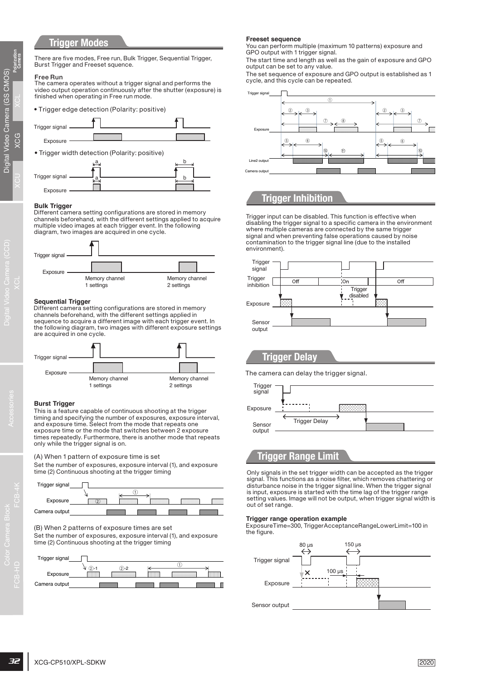# **Trigger Modes**

There are five modes, Free run, Bulk Trigger, Sequential Trigger, Burst Trigger and Freeset squence.

#### Free Run

The camera operates without a trigger signal and performs the video output operation continuously after the shutter (exposure) is finished when operating in Free run mode.







#### **Bulk Trigger**

Different camera setting configurations are stored in memory channels beforehand, with the different settings applied to acquire multiple video images at each trigger event. In the following diagram, two images are acquired in one cycle.



#### **Sequential Trigger**

Different camera setting configurations are stored in memory channels beforehand, with the different settings applied in sequence to acquire a different image with each trigger event. In the following diagram, two images with different exposure settings are acquired in one cycle.



#### **Burst Trigger**

This is a feature capable of continuous shooting at the trigger timing and specifying the number of exposures, exposure interval, and exposure time. Select from the mode that repeats one exposure time or the mode that switches between 2 exposure times repeatedly. Furthermore, there is another mode that repeats only while the trigger signal is on.

(A) When 1 pattern of exposure time is set

Set the number of exposures, exposure interval (1), and exposure time (2) Continuous shooting at the trigger timing



(B) When 2 patterns of exposure times are set

Set the number of exposures, exposure interval (1), and exposure time (2) Continuous shooting at the trigger timing



#### **Freeset sequence**

You can perform multiple (maximum 10 patterns) exposure and GPO output with 1 trigger signal.

The start time and length as well as the gain of exposure and GPO output can be set to any value.

The set sequence of exposure and GPO output is established as 1 cycle, and this cycle can be repeated.



# **Trigger Inhibition**

Trigger input can be disabled. This function is effective when disabling the trigger signal to a specific camera in the environment where multiple cameras are connected by the same trigger signal and when preventing false operations caused by noise contamination to the trigger signal line (due to the installed environment).

![](_page_6_Figure_34.jpeg)

### **Trigger Delay**

The camera can delay the trigger signal.

![](_page_6_Figure_37.jpeg)

### **Trigger Range Limit**

Only signals in the set trigger width can be accepted as the trigger signal. This functions as a noise filter, which removes chattering or disturbance noise in the trigger signal line. When the trigger signal is input, exposure is started with the time lag of the trigger range setting values. Image will not be output, when trigger signal width is out of set range.

#### **Trigger range operation example**

ExposureTime=300, TriggerAcceptanceRangeLowerLimit=100 in the figure.

![](_page_6_Figure_42.jpeg)